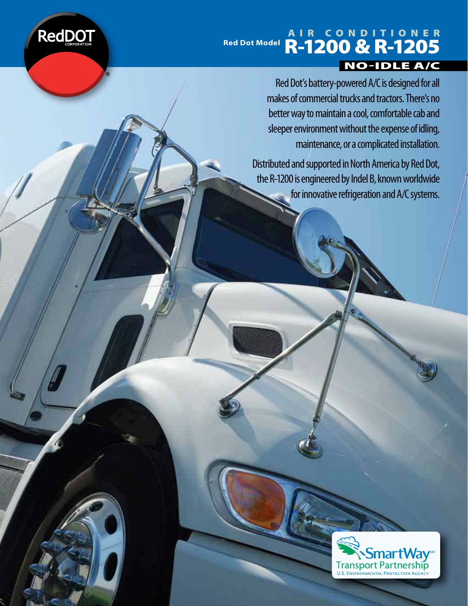

### Air Conditioner Red Dot Model **R-1200 & R-1205** no-idle A/C

Red Dot's battery-powered A/C is designed for all makes of commercial trucks and tractors. There's no better way to maintain a cool, comfortable cab and sleeper environment without the expense of idling, maintenance, or a complicated installation.

Distributed and supported in North America by Red Dot, the R-1200 is engineered by Indel B, known worldwide for innovative refrigeration and A/C systems.

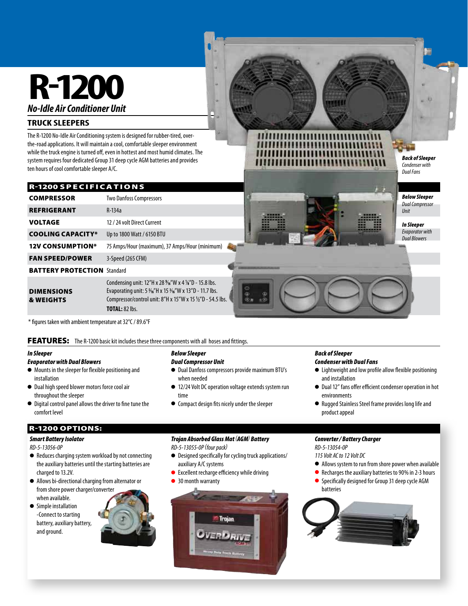# **R-1200 No-Idle Air Conditioner Unit**

#### **TRUCK SLEEPERS**

The R-1200 No-Idle Air Conditioning system is designed for rubber-tired, overthe-road applications. It will maintain a cool, comfortable sleeper environment while the truck engine is turned off, even in hottest and most humid climates. The system requires four dedicated Group 31 deep cycle AGM batteries and provides ten hours of cool comfortable sleeper A/C.

#### **R-1200 SPECIFICATIONS**

| <b>COMPRESSOR</b>                         | <b>Two Danfoss Compressors</b>                                                                                                                                                                       |
|-------------------------------------------|------------------------------------------------------------------------------------------------------------------------------------------------------------------------------------------------------|
| <b>REFRIGERANT</b>                        | $R-134a$                                                                                                                                                                                             |
| <b>VOLTAGE</b>                            | 12 / 24 volt Direct Current                                                                                                                                                                          |
| <b>COOLING CAPACITY*</b>                  | Up to 1800 Watt / 6150 BTU                                                                                                                                                                           |
| <b>12V CONSUMPTION*</b>                   | 75 Amps/Hour (maximum), 37 Amps/Hour (minimum)                                                                                                                                                       |
| <b>FAN SPEED/POWER</b>                    | 3-Speed (265 CFM)                                                                                                                                                                                    |
| <b>BATTERY PROTECTION</b> Standard        |                                                                                                                                                                                                      |
| <b>DIMENSIONS</b><br><b>&amp; WEIGHTS</b> | Condensing unit: $12''$ H x 28 %"W x 4 %"D - 15.8 lbs.<br>Evaporating unit: 5 %"H x 15 %"W x 13"D - 11.7 lbs.<br>Compressor/control unit: 8"H x 15"W x 15 1/2"D - 54.5 lbs.<br><b>TOTAL: 82 lbs.</b> |

\* figures taken with ambient temperature at 32°C / 89.6°F

#### FEATURES: The R-1200 basic kit includes these three components with all hoses and fittings.

#### In Sleeper

#### Evaporator with Dual Blowers

- $\bullet$  Mounts in the sleeper for flexible positioning and installation
- $\bullet$  Dual high speed blower motors force cool air throughout the sleeper
- $\bullet$  Digital control panel allows the driver to fine tune the comfort level

#### r-1200 oPtionS:

#### Smart Battery Isolator

#### RD-5-13056-0P

- Reduces charging system workload by not connecting the auxiliary batteries until the starting batteries are charged to 13.2V.
- Allows bi-directional charging from alternator or from shore power charger/converter when available.
- **•** Simple installation -Connect to starting battery, auxiliary battery, and ground.



### Trojan Absorbed Glass Mat (AGM) Battery

**•** Compact design fits nicely under the sleeper

RD-5-13055-0P (four pack)

Below Sleeper Dual Compressor Unit

when needed

time

 $\bullet$  Designed specifically for cycling truck applications/ auxiliary A/C systems

 $\bullet$  Dual Danfoss compressors provide maximum BTU's

● 12/24 Volt DC operation voltage extends system run

- $\bullet$  Excellent recharge efficiency while driving
- 30 month warranty



### Condenser with Dual Fans

Back of Sleeper

 $\bullet$  Lightweight and low profile allow flexible positioning and installation

Back of Sleeper Condenser with Dual Fans

Below Sleeper Dual Compressor Unit

In Sleeper Evaporator with Dual Blowers

- $\bullet$  Dual 12" fans offer efficient condenser operation in hot environments
- Rugged Stainless Steel frame provides long life and product appeal

#### Converter / Battery Charger

RD-5-13054-0P

115 Volt AC to 12 Volt DC

- l Allows system to run from shore power when available
- Recharges the auxiliary batteries to 90% in 2-3 hours
- **•** Specifically designed for Group 31 deep cycle AGM batteries

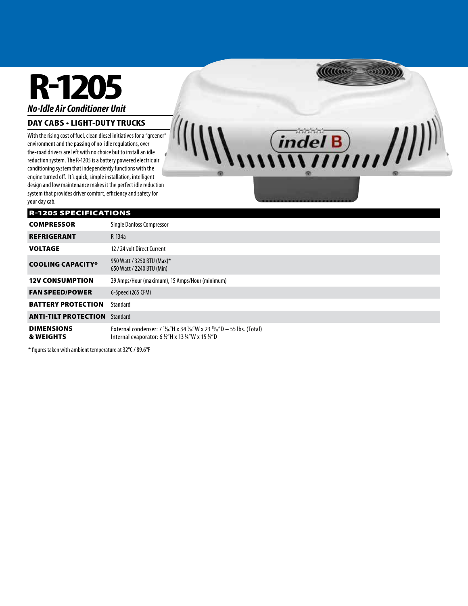# **R-1205 No-Idle Air Conditioner Unit**

#### **DAy CAbS • LIGHT-DUTY TRUCKS**

With the rising cost of fuel, clean diesel initiatives for a "greener" environment and the passing of no-idle regulations, overthe-road drivers are left with no choice but to install an idle reduction system. The R-1205 is a battery powered electric air conditioning system that independently functions with the engine turned off. It's quick, simple installation, intelligent design and low maintenance makes it the perfect idle reduction system that provides driver comfort, efficiency and safety for your day cab.

#### r-1205 SPeCiFiCAtionS

| <b>COMPRESSOR</b>                         | <b>Single Danfoss Compressor</b>                                                                                                                                                               |
|-------------------------------------------|------------------------------------------------------------------------------------------------------------------------------------------------------------------------------------------------|
| <b>REFRIGERANT</b>                        | $R-134a$                                                                                                                                                                                       |
| <b>VOLTAGE</b>                            | 12 / 24 volt Direct Current                                                                                                                                                                    |
| <b>COOLING CAPACITY*</b>                  | 950 Watt / 3250 BTU (Max)*<br>650 Watt / 2240 BTU (Min)                                                                                                                                        |
| <b>12V CONSUMPTION</b>                    | 29 Amps/Hour (maximum), 15 Amps/Hour (minimum)                                                                                                                                                 |
| <b>FAN SPEED/POWER</b>                    | 6-Speed (265 CFM)                                                                                                                                                                              |
| <b>BATTERY PROTECTION</b>                 | Standard                                                                                                                                                                                       |
| <b>ANTI-TILT PROTECTION</b>               | Standard                                                                                                                                                                                       |
| <b>DIMENSIONS</b><br><b>&amp; WEIGHTS</b> | External condenser: $7\frac{13}{16}$ H x 34 $\frac{1}{16}$ W x 23 $\frac{13}{16}$ D $-$ 55 lbs. (Total)<br>Internal evaporator: 6 $\frac{1}{2}$ "H x 13 $\frac{1}{2}$ "W x 15 $\frac{1}{4}$ "D |

*Allaces* 

 $\frac{1}{\ln |\mathbf{u}_1||\mathbf{u}_2||\mathbf{u}_3||\mathbf{u}_4}$ 

\* figures taken with ambient temperature at 32°C / 89.6°F